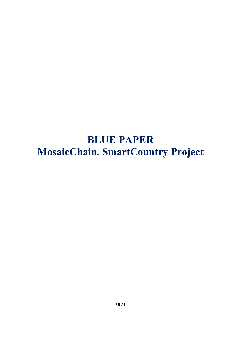# **BLUE PAPER MosaicChain. SmartCountry Project**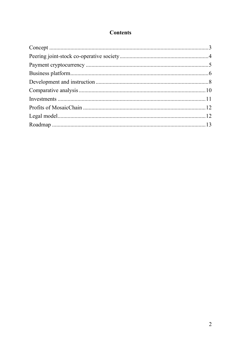# **Contents**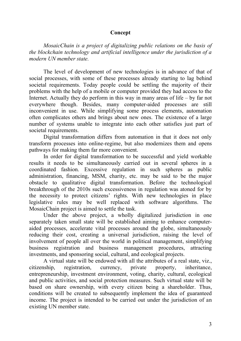# **Concept**

<span id="page-2-0"></span>*MosaicChain is a project of digitalizing public relations on the basis of the blockchain technology and artificial intelligence under the jurisdiction of a modern UN member state.*

The level of development of new technologies is in advance of that of social processes, with some of these processes already starting to lag behind societal requirements. Today people could be settling the majority of their problems with the help of a mobile or computer provided they had access to the Internet. Actually they do perform in this way in many areas of life – by far not everywhere though. Besides, many computer-aided processes are still inconvenient in use. While simplifying some process elements, automation often complicates others and brings about new ones. The existence of a large number of systems unable to integrate into each other satisfies just part of societal requirements.

Digital transformation differs from automation in that it does not only transform processes into online-regime, but also modernizes them and opens pathways for making them far more convenient.

In order for digital transformation to be successful and yield workable results it needs to be simultaneously carried out in several spheres in a coordinated fashion. Excessive regulation in such spheres as public administration, financing, MSM, charity, etc. may be said to be the major obstacle to qualitative digital transformation. Before the technological breakthrough of the 2010s such excessiveness in regulation was atoned for by the necessity to protect citizens' rights. With new technologies in place legislative rules may be well replaced with software algorithms. The MosaicChain project is aimed to settle the task.

Under the above project, a wholly digitalized jurisdiction in one separately taken small state will be established aiming to enhance computeraided processes, accelerate vital processes around the globe, simultaneously reducing their cost, creating a universal jurisdiction, raising the level of involvement of people all over the world in political management, simplifying business registration and business management procedures, attracting investments, and sponsoring social, cultural, and ecological projects.

A virtual state will be endowed with all the attributes of a real state, viz., citizenship, registration, currency, private property, inheritance, entrepreneurship, investment environment, voting, charity, cultural, ecological and public activities, and social protection measures. Such virtual state will be based on share ownership, with every citizen being a shareholder. Thus, conditions will be created to subsequently implement the idea of guaranteed income. The project is intended to be carried out under the jurisdiction of an existing UN member state.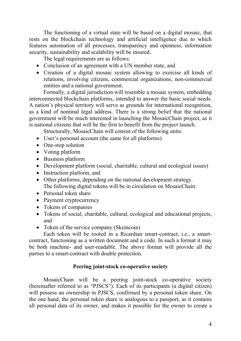The functioning of a virtual state will be based on a digital mosaic, that rests on the blockchain technology and artificial intelligence due to which features automation of all processes, transparency and openness, information security, sustainability and scalability will be insured.

The legal requirements are as follows:

- Conclusion of an agreement with a UN member state, and
- Creation of a digital mosaic system allowing to exercise all kinds of relations, involving citizens, commercial organizations, non-commercial entities and a national government.

Formally, a digital jurisdiction will resemble a mosaic system, embedding interconnected blockchain platforms, intended to answer the basic social needs. A nation's physical territory will serve as grounds for international recognition, as a kind of nominal legal address. There is a strong belief that the national government will be much interested in launching the MosaicChain project, as it is national citizens that will be the first to benefit from the project launch.

Structurally, MosaicChain will consist of the following units:

- User's personal account (the same for all platforms)
- One-stop solution
- Voting platform
- Business platform
- Development platform (social, charitable, cultural and ecological issues)
- Instruction platform, and
- Other platforms, depending on the national development strategy. The following digital tokens will be in circulation on MosaicChain:
- Personal token share
- Payment cryptocurrency
- Tokens of companies
- Tokens of social, charitable, cultural, ecological and educational projects, and
- Token of the service company (Skeincoin)

Each token will be rooted in a Ricardian smart-contract, i.e., a smartcontract, functioning as a written document and a code. In such a format it may be both machine- and user-readable. The above format will provide all the parties to a smart-contract with double protection.

# **Peering joint-stock co-operative society**

<span id="page-3-0"></span>MosaicChain will be a peering joint-stock co-operative society (hereinafter referred to as "PJSCS"). Each of its participants (a digital citizen) will possess an ownership in PJSCS, confirmed by a personal token share. On the one hand, the personal token share is analogous to a passport, as it contains all personal data of its owner, and makes it possible for the owner to create a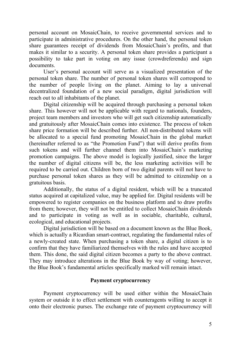personal account on MosaicChain, to receive governmental services and to participate in administrative procedures. On the other hand, the personal token share guarantees receipt of dividends from MosaicChain's profits, and that makes it similar to a security. A personal token share provides a participant a possibility to take part in voting on any issue (crowdreferenda) and sign documents.

User's personal account will serve as a visualized presentation of the personal token share. The number of personal token shares will correspond to the number of people living on the planet. Aiming to lay a universal decentralized foundation of a new social paradigm, digital jurisdiction will reach out to all inhabitants of the planet.

Digital citizenship will be acquired through purchasing a personal token share. This however will not be applicable with regard to nationals, founders, project team members and investors who will get such citizenship automatically and gratuitously after MosaicChain comes into existence. The process of token share price formation will be described further. All non-distributed tokens will be allocated to a special fund promoting MosaicChain in the global market (hereinafter referred to as "the Promotion Fund") that will derive profits from such tokens and will further channel them into MosaicChain's marketing promotion campaigns. The above model is logically justified, since the larger the number of digital citizens will be, the less marketing activities will be required to be carried out. Children born of two digital parents will not have to purchase personal token shares as they will be admitted to citizenship on a gratuitous basis.

Additionally, the status of a digital resident, which will be a truncated status acquired at capitalized value, may be applied for. Digital residents will be empowered to register companies on the business platform and to draw profits from them; however, they will not be entitled to collect MosaicChain dividends and to participate in voting as well as in sociable, charitable, cultural, ecological, and educational projects.

Digital jurisdiction will be based on a document known as the Blue Book, which is actually a Ricardian smart-contract, regulating the fundamental rules of a newly-created state. When purchasing a token share, a digital citizen is to confirm that they have familiarized themselves with the rules and have accepted them. This done, the said digital citizen becomes a party to the above contract. They may introduce alterations in the Blue Book by way of voting; however, the Blue Book's fundamental articles specifically marked will remain intact.

## **Payment cryptocurrency**

<span id="page-4-0"></span>Payment cryptocurrency will be used either within the MosaicChain system or outside it to effect settlement with counteragents willing to accept it onto their electronic purses. The exchange rate of payment cryptocurrency will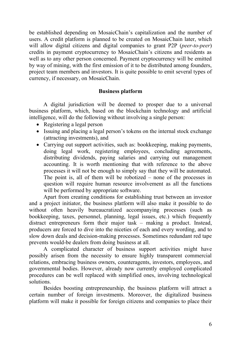be established depending on MosaicChain's capitalization and the number of users. A credit platform is planned to be created on MosaicChain later, which will allow digital citizens and digital companies to grant P2P (*peer-to-peer*) credits in payment cryptocurrency to MosaicChain's citizens and residents as well as to any other person concerned. Payment cryptocurrency will be emitted by way of mining, with the first emission of it to be distributed among founders, project team members and investors. It is quite possible to emit several types of currency, if necessary, on MosaicChain.

## **Business platform**

<span id="page-5-0"></span>A digital jurisdiction will be deemed to prosper due to a universal business platform, which, based on the blockchain technology and artificial intelligence, will do the following without involving a single person:

- Registering a legal person
- Issuing and placing a legal person's tokens on the internal stock exchange (attracting investments), and
- Carrying out support activities, such as: bookkeeping, making payments, doing legal work, registering employees, concluding agreements, distributing dividends, paying salaries and carrying out management accounting. It is worth mentioning that with reference to the above processes it will not be enough to simply say that they will be automated. The point is, all of them will be robotized – none of the processes in question will require human resource involvement as all the functions will be performed by appropriate software.

Apart from creating conditions for establishing trust between an investor and a project initiator, the business platform will also make it possible to do without often heavily bureaucratized accompanying processes (such as bookkeeping, taxes, personnel, planning, legal issues, etc.) which frequently distract entrepreneurs form their major task – making a product. Instead, producers are forced to dive into the niceties of each and every wording, and to slow down deals and decision-making processes. Sometimes redundant red tape prevents would-be dealers from doing business at all.

A complicated character of business support activities might have possibly arisen from the necessity to ensure highly transparent commercial relations, embracing business owners, counteragents, investors, employees, and governmental bodies. However, already now currently employed complicated procedures can be well replaced with simplified ones, involving technological solutions.

Besides boosting entrepreneurship, the business platform will attract a certain number of foreign investments. Moreover, the digitalized business platform will make it possible for foreign citizens and companies to place their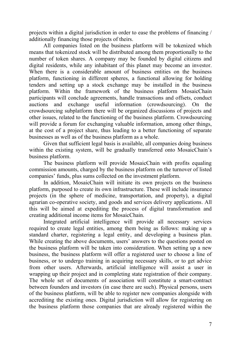projects within a digital jurisdiction in order to ease the problems of financing / additionally financing those projects of theirs.

All companies listed on the business platform will be tokenized which means that tokenized stock will be distributed among them proportionally to the number of token shares. A company may be founded by digital citizens and digital residents, while any inhabitant of this planet may become an investor. When there is a considerable amount of business entities on the business platform, functioning in different spheres, a functional allowing for holding tenders and setting up a stock exchange may be installed in the business platform. Within the framework of the business platform MosaicChain participants will conclude agreements, handle transactions and offsets, conduct auctions and exchange useful information (crowdsourcing). On the crowdsourcing subplatform there will be organized discussions of projects and other issues, related to the functioning of the business platform. Crowdsourcing will provide a forum for exchanging valuable information, among other things, at the cost of a project share, thus leading to a better functioning of separate businesses as well as of the business platform as a whole.

Given that sufficient legal basis is available, all companies doing business within the existing system, will be gradually transferred onto MosaicChain's business platform.

The business platform will provide MosaicChain with profits equaling commission amounts, charged by the business platform on the turnover of listed companies' funds, plus sums collected on the investment platform.

In addition, MosaicChain will initiate its own projects on the business platform, purposed to create its own infrastructure. These will include insurance projects (in the sphere of medicine, transportation, and property), a digital agrarian co-operative society, and goods and services delivery applications. All this will be aimed at expediting the process of digital transformation and creating additional income items for MosaicChain.

Integrated artificial intelligence will provide all necessary services required to create legal entities, among them being as follows: making up a standard charter, registering a legal entity, and developing a business plan. While creating the above documents, users' answers to the questions posted on the business platform will be taken into consideration. When setting up a new business, the business platform will offer a registered user to choose a line of business, or to undergo training in acquiring necessary skills, or to get advice from other users. Afterwards, artificial intelligence will assist a user in wrapping up their project and in completing state registration of their company. The whole set of documents of association will constitute a smart-contract between founders and investors (in case there are such). Physical persons, users of the business platform, will be able to register new companies alongside with accrediting the existing ones. Digital jurisdiction will allow for registering on the business platform those companies that are already registered within the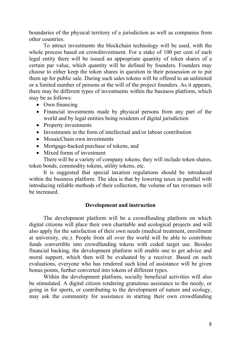boundaries of the physical territory of a jurisdiction as well as companies from other countries.

To attract investments the blockchain technology will be used, with the whole process based on crowdinvestment. For a stake of 100 per cent of each legal entity there will be issued an appropriate quantity of token shares of a certain par value, which quantity will be defined by founders. Founders may choose to either keep the token shares in question in their possession or to put them up for public sale. During such sales tokens will be offered to an unlimited or a limited number of persons at the will of the project founders. As it appears, there may be different types of investments within the business platform, which may be as follows:

- Own financing
- Financial investments made by physical persons from any part of the world and by legal entities being residents of digital jurisdiction
- Property investments
- Investments in the form of intellectual and/or labour contribution
- MosaicChain own investments
- Mortgage-backed purchase of tokens, and
- Mixed forms of investment

There will be a variety of company tokens; they will include token shares, token bonds, commodity tokens, utility tokens, etc.

It is suggested that special taxation regulations should be introduced within the business platform. The idea is that by lowering taxes in parallel with introducing reliable methods of their collection, the volume of tax revenues will be increased.

#### **Development and instruction**

<span id="page-7-0"></span>The development platform will be a crowdfunding platform on which digital citizens will place their own charitable and ecological projects and will also apply for the satisfaction of their own needs (medical treatment, enrollment at university, etc.). People from all over the world will be able to contribute funds convertible into crowdfunding tokens with coded target use. Besides financial backing, the development platform will enable one to get advice and moral support, which then will be evaluated by a receiver. Based on such evaluations, everyone who has rendered such kind of assistance will be given bonus points, further converted into tokens of different types.

Within the development platform, socially beneficial activities will also be stimulated. A digital citizen rendering gratuitous assistance to the needy, or going in for sports, or contributing to the development of nature and ecology, may ask the community for assistance in starting their own crowdfunding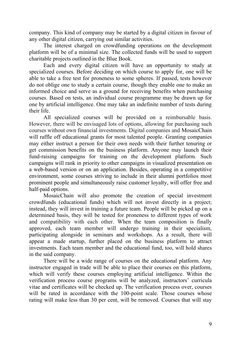company. This kind of company may be started by a digital citizen in favour of any other digital citizen, carrying out similar activities.

The interest charged on crowdfunding operations on the development platform will be of a minimal size. The collected funds will be used to support charitable projects outlined in the Blue Book.

Each and every digital citizen will have an opportunity to study at specialized courses. Before deciding on which course to apply for, one will be able to take a free test for proneness to some spheres. If passed, tests however do not oblige one to study a certain course, though they enable one to make an informed choice and serve as a ground for receiving benefits when purchasing courses. Based on tests, an individual course programme may be drawn up for one by artificial intelligence. One may take an indefinite number of tests during their life.

All specialized courses will be provided on a reimbursable basis. However, there will be envisaged lots of options, allowing for purchasing such courses without own financial investments. Digital companies and MosaicChain will raffle off educational grants for most talented people. Granting companies may either instruct a person for their own needs with their further tenuring or get commission benefits on the business platform. Anyone may launch their fund-raising campaigns for training on the development platform. Such campaigns will rank in priority to other campaigns in visualized presentation on a web-based version or on an application. Besides, operating in a competitive environment, some courses striving to include in their alumni portfolios most prominent people and simultaneously raise customer loyalty, will offer free and half-paid options.

MosaicChain will also promote the creation of special investment crowdfunds (educational funds) which will not invest directly in a project; instead, they will invest in training a future team. People will be picked up on a determined basis, they will be tested for proneness to different types of work and compatibility with each other. When the team composition is finally approved, each team member will undergo training in their specialism, participating alongside in seminars and workshops. As a result, there will appear a made startup, further placed on the business platform to attract investments. Each team member and the educational fund, too, will hold shares in the said company.

There will be a wide range of courses on the educational platform. Any instructor engaged in trade will be able to place their courses on this platform, which will verify these courses employing artificial intelligence. Within the verification process course programs will be analyzed, instructors' curricula vitae and certificates will be checked up. The verification process over, courses will be rated in accordance with the 100-point scale. Those courses whose rating will make less than 30 per cent, will be removed. Courses that will stay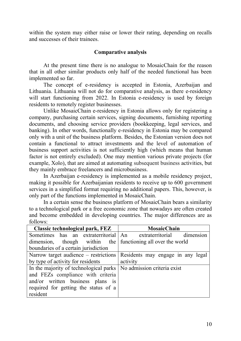within the system may either raise or lower their rating, depending on recalls and successes of their trainees.

## **Comparative analysis**

<span id="page-9-0"></span>At the present time there is no analogue to MosaicChain for the reason that in all other similar products only half of the needed functional has been implemented so far.

The concept of e-residency is accepted in Estonia, Azerbaijan and Lithuania. Lithuania will not do for comparative analysis, as there e-residency will start functioning from 2022. In Estonia e-residency is used by foreign residents to remotely register businesses.

Unlike MosaicChain e-residency in Estonia allows only for registering a company, purchasing certain services, signing documents, furnishing reporting documents, and choosing service providers (bookkeeping, legal services, and banking). In other words, functionally e-residency in Estonia may be compared only with a unit of the business platform. Besides, the Estonian version does not contain a functional to attract investments and the level of automation of business support activities is not sufficiently high (which means that human factor is not entirely excluded). One may mention various private projects (for example, Хolo), that are aimed at automating subsequent business activities, but they mainly embrace freelancers and microbusiness.

In Azerbaijan e-residency is implemented as a mobile residency project, making it possible for Azerbaijanian residents to receive up to 600 government services in a simplified format requiring no additional papers. This, however, is only part of the functions implemented in MosaicChain.

In a certain sense the business platform of MosaicChain bears a similarity to a technological park or a free economic zone that nowadays are often created and become embedded in developing countries. The major differences are as follows:

| Classic technological park, FEZ                                      | <b>MosaicChain</b>                |  |
|----------------------------------------------------------------------|-----------------------------------|--|
| Sometimes has an extraterritorial An extraterritorial dimension      |                                   |  |
| dimension, though within the functioning all over the world          |                                   |  |
| boundaries of a certain jurisdiction                                 |                                   |  |
| Narrow target audience – restrictions                                | Residents may engage in any legal |  |
| by type of activity for residents                                    | activity                          |  |
| In the majority of technological parks   No admission criteria exist |                                   |  |
| and FEZs compliance with criteria                                    |                                   |  |
| and/or written business plans is                                     |                                   |  |
| required for getting the status of a                                 |                                   |  |
| resident                                                             |                                   |  |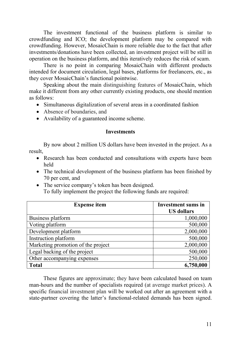The investment functional of the business platform is similar to crowdfunding and ICO; the development platform may be compared with crowdfunding. However, MosaicChain is more reliable due to the fact that after investments/donations have been collected, an investment project will be still in operation on the business platform, and this iteratively reduces the risk of scam.

There is no point in comparing MosaicChain with different products intended for document circulation, legal bases, platforms for freelancers, etc., as they cover MosaicChain's functional pointwise.

Speaking about the main distinguishing features of MosaicChain, which make it different from any other currently existing products, one should mention as follows:

- Simultaneous digitalization of several areas in a [coordinated](https://wooordhunt.ru/word/coordinated) [fashion](https://wooordhunt.ru/word/fashion)
- Absence of boundaries, and
- Availability of a [guaranteed](https://wooordhunt.ru/word/guaranteed) [income](https://wooordhunt.ru/word/income) scheme.

#### **Investments**

<span id="page-10-0"></span>By now about 2 million US dollars have been invested in the project. As a result,

- Research has been conducted and consultations with experts have been held
- The technical development of the business platform has been finished by 70 per cent, and
- The service company's token has been designed. To fully implement the project the following funds are required:

| <b>Expense item</b>                | <b>Investment sums in</b> |
|------------------------------------|---------------------------|
|                                    | <b>US dollars</b>         |
| Business platform                  | 1,000,000                 |
| Voting platform                    | 500,000                   |
| Development platform               | 2,000,000                 |
| Instruction platform               | 500,000                   |
| Marketing promotion of the project | 2,000,000                 |
| Legal backing of the project       | 500,000                   |
| Other accompanying expenses        | 250,000                   |
| <b>Total</b>                       | 6,750,000                 |

These figures are approximate; they have been calculated based on team man-hours and the number of specialists required (at average market prices). A specific financial investment plan will be worked out after an agreement with a state-partner covering the latter's functional-related demands has been signed.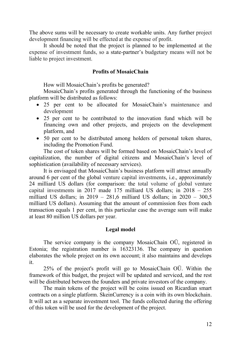The above sums will be necessary to create workable units. Any further project development financing will be effected at the expense of profit.

It should be noted that the project is planned to be implemented at the expense of investment funds, so a state-partner's budgetary means will not be liable to project investment.

#### **Profits of MosaicChain**

How will MosaicChain's profits be generated?

<span id="page-11-0"></span>MosaicChain's profits generated through the functioning of the business platform will be distributed as follows:

- 25 per cent to be allocated for MosaicChain's maintenance and development
- 25 per cent to be contributed to the innovation fund which will be financing own and other projects, and projects on the development platform, and
- 50 per cent to be distributed among holders of personal token shares, including the Promotion Fund.

The cost of token shares will be formed based on MosaicChain's level of capitalization, the number of digital citizens and MosaicChain's level of sophistication (availability of necessary services).

It is envisaged that MosaicChain's business platform will attract annually around 6 per cent of the global venture capital investments, i.e., approximately 24 milliard US dollars (for comparison: the total volume of global venture capital investments in 2017 made 175 milliard US dollars; in 2018 – 255 milliard US dollars; in 2019 – 281,6 milliard US dollars; in 2020 – 300,5 milliard US dollars). Assuming that the amount of commission fees from each transaction equals 1 per cent, in this particular case the average sum will make at least 80 million US dollars per year.

#### **Legal model**

<span id="page-11-1"></span>The service company is the company MosaicChain OÜ, registered in Estonia; the registration number is 16323136. The company in question elaborates the whole project on its own account; it also maintains and develops it.

25% of the project's profit will go to MosaicChain OÜ. Within the framework of this budget, the project will be updated and serviced, and the rest will be distributed between the founders and private investors of the company.

The main tokens of the project will be coins issued on Ricardian smart contracts on a single platform. SkeinCurrency is a coin with its own blockchain. It will act as a separate investment tool. The funds collected during the offering of this token will be used for the development of the project.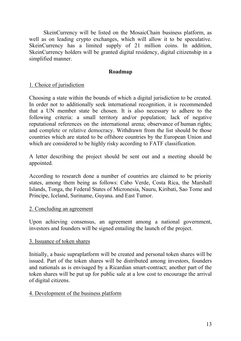SkeinCurrency will be listed on the MosaicChain business platform, as well as on leading crypto exchanges, which will allow it to be speculative. SkeinCurrency has a limited supply of 21 million coins. In addition, SkeinCurrency holders will be granted digital residency, digital citizenship in a simplified manner.

## **Roadmap**

## <span id="page-12-0"></span>1. Choice of jurisdiction

Choosing a state within the bounds of which a digital jurisdiction to be created. In order not to additionally seek international recognition, it is recommended that a UN member state be chosen. It is also necessary to adhere to the following criteria: a small territory and/or population; lack of negative reputational references on the international arena; [observance](https://wooordhunt.ru/word/observance) of [human](https://wooordhunt.ru/word/human) [rights;](https://wooordhunt.ru/word/rights) and complete or relative democracy. Withdrawn from the list should be those countries which are stated to be offshore countries by the European Union and which are considered to be highly risky according to FATF classification.

A letter describing the project should be sent out and a meeting should be appointed.

According to research done a number of countries are claimed to be priority states, among them being as follows: Cabo Verde, Costa Rica, the Marshall Islands, Tonga, the Federal States of Micronesia, Nauru, Kiribati, Sao Tome and Principe, Iceland, Suriname, Guyana. and East Tumor.

#### 2. Concluding an agreement

Upon achieving consensus, an agreement among a national government, investors and founders will be signed entailing the launch of the project.

#### 3. Issuance of token shares

Initially, a basic supraplatform will be created and personal token shares will be issued. Part of the token shares will be distributed among investors, founders and nationals as is envisaged by a Ricardian smart-contract; another part of the token shares will be put up for public sale at a low cost to encourage the arrival of digital citizens.

#### 4. Development of the business platform